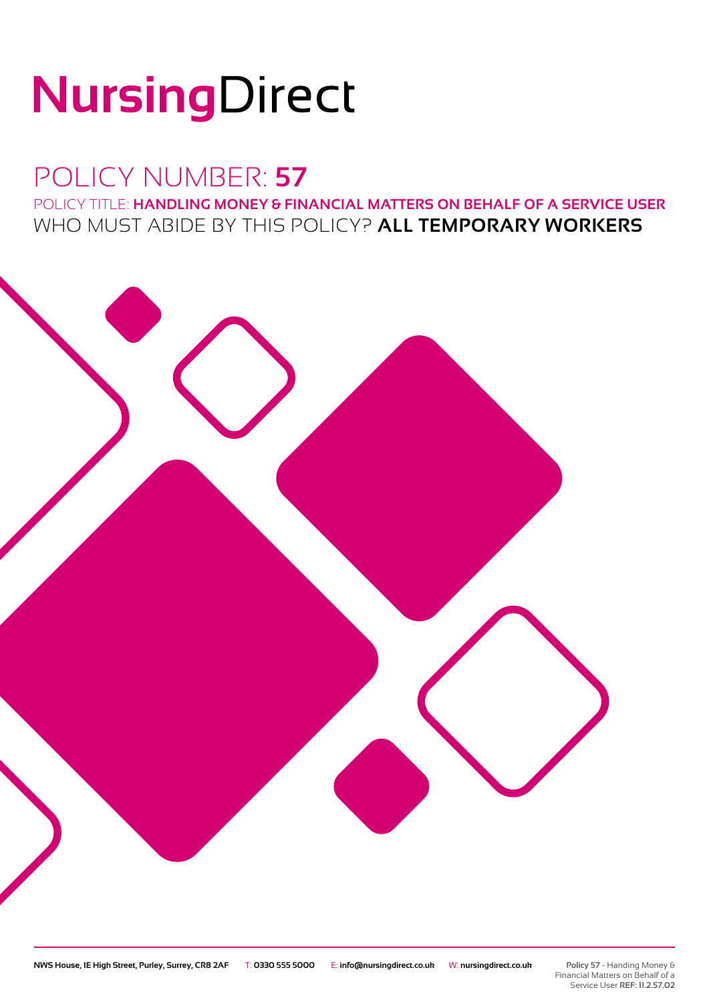# NursingDirect

### POLICY NUMBER: **57**

POLICY TITLE: **HANDLING MONEY & FINANCIAL MATTERS ON BEHALF OF A SERVICE USER** WHO MUST ABIDE BY THIS POLICY? **ALL TEMPORARY WORKERS**